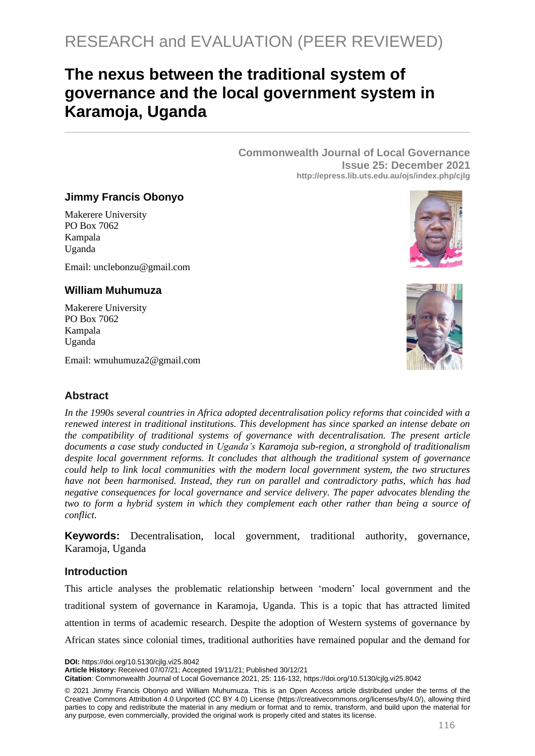# **The nexus between the traditional system of governance and the local government system in Karamoja, Uganda**

**Commonwealth Journal of Local Governance Issue 25: December 2021 http://epress.lib.uts.edu.au/ojs/index.php/cjlg**

## **Jimmy Francis Obonyo**

Makerere University PO Box 7062 Kampala Uganda

Email: unclebonzu@gmail.com

## **William Muhumuza**

Makerere University PO Box 7062 Kampala Uganda

Email: wmuhumuza2@gmail.com

# **Abstract**

*In the 1990s several countries in Africa adopted decentralisation policy reforms that coincided with a renewed interest in traditional institutions. This development has since sparked an intense debate on the compatibility of traditional systems of governance with decentralisation. The present article documents a case study conducted in Uganda's Karamoja sub-region, a stronghold of traditionalism despite local government reforms. It concludes that although the traditional system of governance could help to link local communities with the modern local government system, the two structures have not been harmonised. Instead, they run on parallel and contradictory paths, which has had negative consequences for local governance and service delivery. The paper advocates blending the two to form a hybrid system in which they complement each other rather than being a source of conflict.*

**Keywords:** Decentralisation, local government, traditional authority, governance, Karamoja, Uganda

## **Introduction**

This article analyses the problematic relationship between 'modern' local government and the traditional system of governance in Karamoja, Uganda. This is a topic that has attracted limited attention in terms of academic research. Despite the adoption of Western systems of governance by African states since colonial times, traditional authorities have remained popular and the demand for

**DOI:** https://doi.org/10.5130/cjlg.vi25.8042

**Article History:** Received 07/07/21; Accepted 19/11/21; Published 30/12/21

**Citation**: Commonwealth Journal of Local Governance 2021, 25: 116-132, https://doi.org/10.5130/cjlg.vi25.8042

© 2021 Jimmy Francis Obonyo and William Muhumuza. This is an Open Access article distributed under the terms of the Creative Commons Attribution 4.0 Unported (CC BY 4.0) License [\(https://creativecommons.org/licenses/by/4.0/\)](https://creativecommons.org/licenses/by/4.0/), allowing third parties to copy and redistribute the material in any medium or format and to remix, transform, and build upon the material for any purpose, even commercially, provided the original work is properly cited and states its license.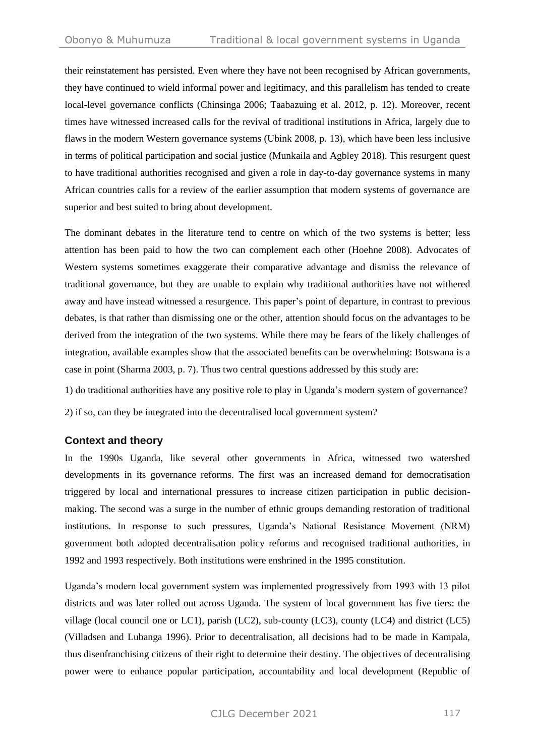their reinstatement has persisted. Even where they have not been recognised by African governments, they have continued to wield informal power and legitimacy, and this parallelism has tended to create local-level governance conflicts (Chinsinga 2006; Taabazuing et al. 2012, p. 12). Moreover, recent times have witnessed increased calls for the revival of traditional institutions in Africa, largely due to flaws in the modern Western governance systems (Ubink 2008, p. 13), which have been less inclusive in terms of political participation and social justice (Munkaila and Agbley 2018). This resurgent quest to have traditional authorities recognised and given a role in day-to-day governance systems in many African countries calls for a review of the earlier assumption that modern systems of governance are superior and best suited to bring about development.

The dominant debates in the literature tend to centre on which of the two systems is better; less attention has been paid to how the two can complement each other (Hoehne 2008). Advocates of Western systems sometimes exaggerate their comparative advantage and dismiss the relevance of traditional governance, but they are unable to explain why traditional authorities have not withered away and have instead witnessed a resurgence. This paper's point of departure, in contrast to previous debates, is that rather than dismissing one or the other, attention should focus on the advantages to be derived from the integration of the two systems. While there may be fears of the likely challenges of integration, available examples show that the associated benefits can be overwhelming: Botswana is a case in point (Sharma 2003, p. 7). Thus two central questions addressed by this study are:

1) do traditional authorities have any positive role to play in Uganda's modern system of governance? 2) if so, can they be integrated into the decentralised local government system?

# **Context and theory**

In the 1990s Uganda, like several other governments in Africa, witnessed two watershed developments in its governance reforms. The first was an increased demand for democratisation triggered by local and international pressures to increase citizen participation in public decisionmaking. The second was a surge in the number of ethnic groups demanding restoration of traditional institutions. In response to such pressures, Uganda's National Resistance Movement (NRM) government both adopted decentralisation policy reforms and recognised traditional authorities, in 1992 and 1993 respectively. Both institutions were enshrined in the 1995 constitution.

Uganda's modern local government system was implemented progressively from 1993 with 13 pilot districts and was later rolled out across Uganda. The system of local government has five tiers: the village (local council one or LC1), parish (LC2), sub-county (LC3), county (LC4) and district (LC5) (Villadsen and Lubanga 1996). Prior to decentralisation, all decisions had to be made in Kampala, thus disenfranchising citizens of their right to determine their destiny. The objectives of decentralising power were to enhance popular participation, accountability and local development (Republic of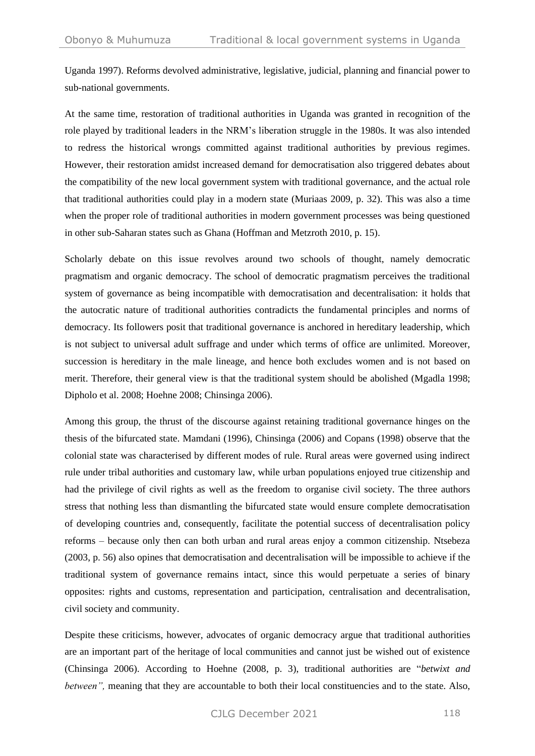Uganda 1997). Reforms devolved administrative, legislative, judicial, planning and financial power to sub-national governments.

At the same time, restoration of traditional authorities in Uganda was granted in recognition of the role played by traditional leaders in the NRM's liberation struggle in the 1980s. It was also intended to redress the historical wrongs committed against traditional authorities by previous regimes. However, their restoration amidst increased demand for democratisation also triggered debates about the compatibility of the new local government system with traditional governance, and the actual role that traditional authorities could play in a modern state (Muriaas 2009, p. 32). This was also a time when the proper role of traditional authorities in modern government processes was being questioned in other sub-Saharan states such as Ghana (Hoffman and Metzroth 2010, p. 15).

Scholarly debate on this issue revolves around two schools of thought, namely democratic pragmatism and organic democracy. The school of democratic pragmatism perceives the traditional system of governance as being incompatible with democratisation and decentralisation: it holds that the autocratic nature of traditional authorities contradicts the fundamental principles and norms of democracy. Its followers posit that traditional governance is anchored in hereditary leadership, which is not subject to universal adult suffrage and under which terms of office are unlimited. Moreover, succession is hereditary in the male lineage, and hence both excludes women and is not based on merit. Therefore, their general view is that the traditional system should be abolished (Mgadla 1998; Dipholo et al. 2008; Hoehne 2008; Chinsinga 2006).

Among this group, the thrust of the discourse against retaining traditional governance hinges on the thesis of the bifurcated state. Mamdani (1996), Chinsinga (2006) and Copans (1998) observe that the colonial state was characterised by different modes of rule. Rural areas were governed using indirect rule under tribal authorities and customary law, while urban populations enjoyed true citizenship and had the privilege of civil rights as well as the freedom to organise civil society. The three authors stress that nothing less than dismantling the bifurcated state would ensure complete democratisation of developing countries and, consequently, facilitate the potential success of decentralisation policy reforms – because only then can both urban and rural areas enjoy a common citizenship. Ntsebeza (2003, p. 56) also opines that democratisation and decentralisation will be impossible to achieve if the traditional system of governance remains intact, since this would perpetuate a series of binary opposites: rights and customs, representation and participation, centralisation and decentralisation, civil society and community.

Despite these criticisms, however, advocates of organic democracy argue that traditional authorities are an important part of the heritage of local communities and cannot just be wished out of existence (Chinsinga 2006). According to Hoehne (2008, p. 3), traditional authorities are "*betwixt and between"*, meaning that they are accountable to both their local constituencies and to the state. Also,

CJLG December 2021 118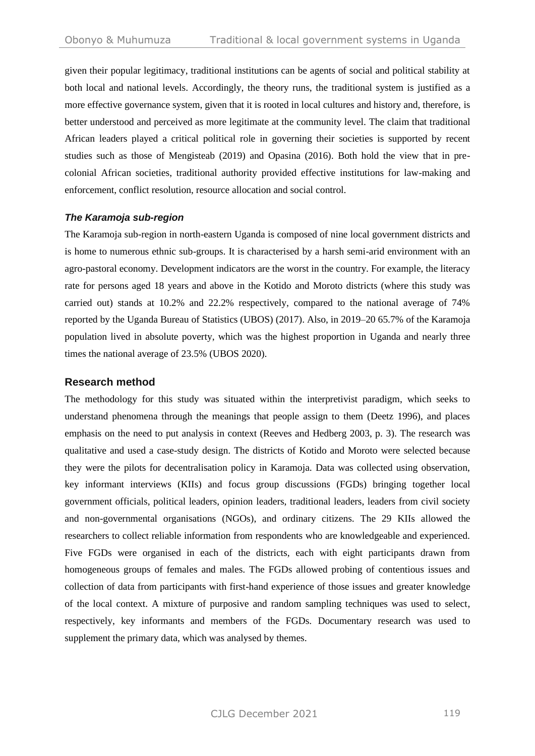given their popular legitimacy, traditional institutions can be agents of social and political stability at both local and national levels. Accordingly, the theory runs, the traditional system is justified as a more effective governance system, given that it is rooted in local cultures and history and, therefore, is better understood and perceived as more legitimate at the community level. The claim that traditional African leaders played a critical political role in governing their societies is supported by recent studies such as those of Mengisteab (2019) and Opasina (2016). Both hold the view that in precolonial African societies, traditional authority provided effective institutions for law-making and enforcement, conflict resolution, resource allocation and social control.

#### *The Karamoja sub-region*

The Karamoja sub-region in north-eastern Uganda is composed of nine local government districts and is home to numerous ethnic sub-groups. It is characterised by a harsh semi-arid environment with an agro-pastoral economy. Development indicators are the worst in the country. For example, the literacy rate for persons aged 18 years and above in the Kotido and Moroto districts (where this study was carried out) stands at 10.2% and 22.2% respectively, compared to the national average of 74% reported by the Uganda Bureau of Statistics (UBOS) (2017). Also, in 2019–20 65.7% of the Karamoja population lived in absolute poverty, which was the highest proportion in Uganda and nearly three times the national average of 23.5% (UBOS 2020).

## **Research method**

The methodology for this study was situated within the interpretivist paradigm, which seeks to understand phenomena through the meanings that people assign to them (Deetz 1996), and places emphasis on the need to put analysis in context (Reeves and Hedberg 2003, p. 3). The research was qualitative and used a case-study design. The districts of Kotido and Moroto were selected because they were the pilots for decentralisation policy in Karamoja. Data was collected using observation, key informant interviews (KIIs) and focus group discussions (FGDs) bringing together local government officials, political leaders, opinion leaders, traditional leaders, leaders from civil society and non-governmental organisations (NGOs), and ordinary citizens. The 29 KIIs allowed the researchers to collect reliable information from respondents who are knowledgeable and experienced. Five FGDs were organised in each of the districts, each with eight participants drawn from homogeneous groups of females and males. The FGDs allowed probing of contentious issues and collection of data from participants with first-hand experience of those issues and greater knowledge of the local context. A mixture of purposive and random sampling techniques was used to select, respectively, key informants and members of the FGDs. Documentary research was used to supplement the primary data, which was analysed by themes.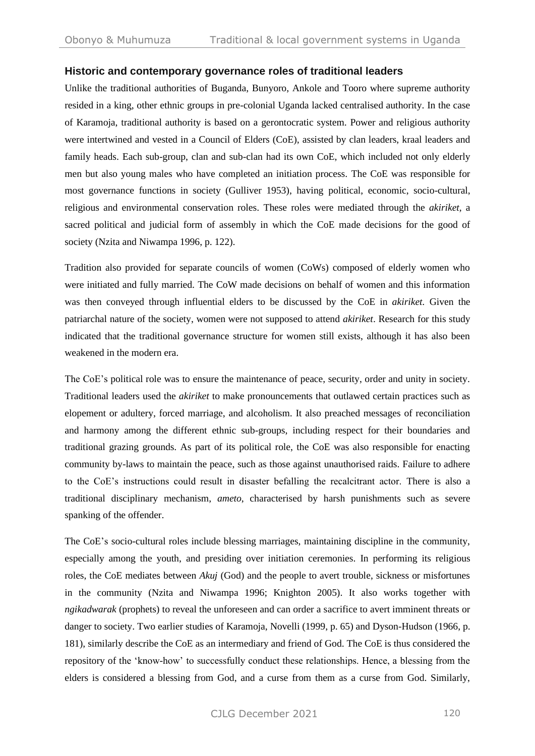## **Historic and contemporary governance roles of traditional leaders**

Unlike the traditional authorities of Buganda, Bunyoro, Ankole and Tooro where supreme authority resided in a king, other ethnic groups in pre-colonial Uganda lacked centralised authority. In the case of Karamoja, traditional authority is based on a gerontocratic system. Power and religious authority were intertwined and vested in a Council of Elders (CoE), assisted by clan leaders, kraal leaders and family heads. Each sub-group, clan and sub-clan had its own CoE, which included not only elderly men but also young males who have completed an initiation process. The CoE was responsible for most governance functions in society (Gulliver 1953), having political, economic, socio-cultural, religious and environmental conservation roles. These roles were mediated through the *akiriket,* a sacred political and judicial form of assembly in which the CoE made decisions for the good of society (Nzita and Niwampa 1996, p. 122).

Tradition also provided for separate councils of women (CoWs) composed of elderly women who were initiated and fully married. The CoW made decisions on behalf of women and this information was then conveyed through influential elders to be discussed by the CoE in *akiriket.* Given the patriarchal nature of the society, women were not supposed to attend *akiriket*. Research for this study indicated that the traditional governance structure for women still exists, although it has also been weakened in the modern era.

The CoE's political role was to ensure the maintenance of peace, security, order and unity in society. Traditional leaders used the *akiriket* to make pronouncements that outlawed certain practices such as elopement or adultery, forced marriage, and alcoholism. It also preached messages of reconciliation and harmony among the different ethnic sub-groups, including respect for their boundaries and traditional grazing grounds. As part of its political role, the CoE was also responsible for enacting community by-laws to maintain the peace, such as those against unauthorised raids. Failure to adhere to the CoE's instructions could result in disaster befalling the recalcitrant actor. There is also a traditional disciplinary mechanism, *ameto*, characterised by harsh punishments such as severe spanking of the offender.

The CoE's socio-cultural roles include blessing marriages, maintaining discipline in the community, especially among the youth, and presiding over initiation ceremonies. In performing its religious roles, the CoE mediates between *Akuj* (God) and the people to avert trouble, sickness or misfortunes in the community (Nzita and Niwampa 1996; Knighton 2005). It also works together with *ngikadwarak* (prophets) to reveal the unforeseen and can order a sacrifice to avert imminent threats or danger to society. Two earlier studies of Karamoja, Novelli (1999, p. 65) and Dyson-Hudson (1966, p. 181), similarly describe the CoE as an intermediary and friend of God. The CoE is thus considered the repository of the 'know-how' to successfully conduct these relationships. Hence, a blessing from the elders is considered a blessing from God, and a curse from them as a curse from God. Similarly,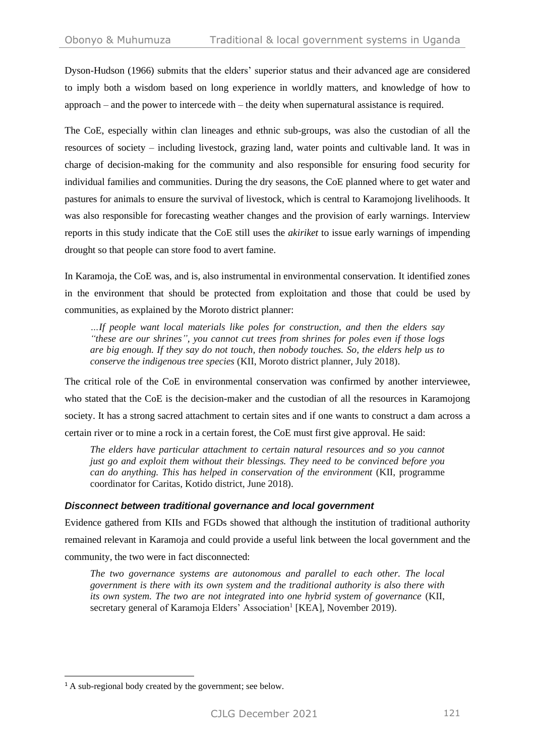Dyson-Hudson (1966) submits that the elders' superior status and their advanced age are considered to imply both a wisdom based on long experience in worldly matters, and knowledge of how to approach – and the power to intercede with – the deity when supernatural assistance is required.

The CoE, especially within clan lineages and ethnic sub-groups, was also the custodian of all the resources of society – including livestock, grazing land, water points and cultivable land. It was in charge of decision-making for the community and also responsible for ensuring food security for individual families and communities. During the dry seasons, the CoE planned where to get water and pastures for animals to ensure the survival of livestock, which is central to Karamojong livelihoods. It was also responsible for forecasting weather changes and the provision of early warnings. Interview reports in this study indicate that the CoE still uses the *akiriket* to issue early warnings of impending drought so that people can store food to avert famine.

In Karamoja, the CoE was, and is, also instrumental in environmental conservation. It identified zones in the environment that should be protected from exploitation and those that could be used by communities, as explained by the Moroto district planner:

*…If people want local materials like poles for construction, and then the elders say "these are our shrines", you cannot cut trees from shrines for poles even if those logs are big enough. If they say do not touch, then nobody touches. So, the elders help us to conserve the indigenous tree species* (KII, Moroto district planner, July 2018).

The critical role of the CoE in environmental conservation was confirmed by another interviewee, who stated that the CoE is the decision-maker and the custodian of all the resources in Karamojong society. It has a strong sacred attachment to certain sites and if one wants to construct a dam across a certain river or to mine a rock in a certain forest, the CoE must first give approval. He said:

*The elders have particular attachment to certain natural resources and so you cannot just go and exploit them without their blessings. They need to be convinced before you can do anything. This has helped in conservation of the environment* (KII, programme coordinator for Caritas, Kotido district, June 2018).

## *Disconnect between traditional governance and local government*

Evidence gathered from KIIs and FGDs showed that although the institution of traditional authority remained relevant in Karamoja and could provide a useful link between the local government and the community, the two were in fact disconnected:

*The two governance systems are autonomous and parallel to each other. The local government is there with its own system and the traditional authority is also there with its own system. The two are not integrated into one hybrid system of governance* (KII, secretary general of Karamoja Elders' Association<sup>1</sup> [KEA], November 2019).

<sup>&</sup>lt;sup>1</sup> A sub-regional body created by the government; see below.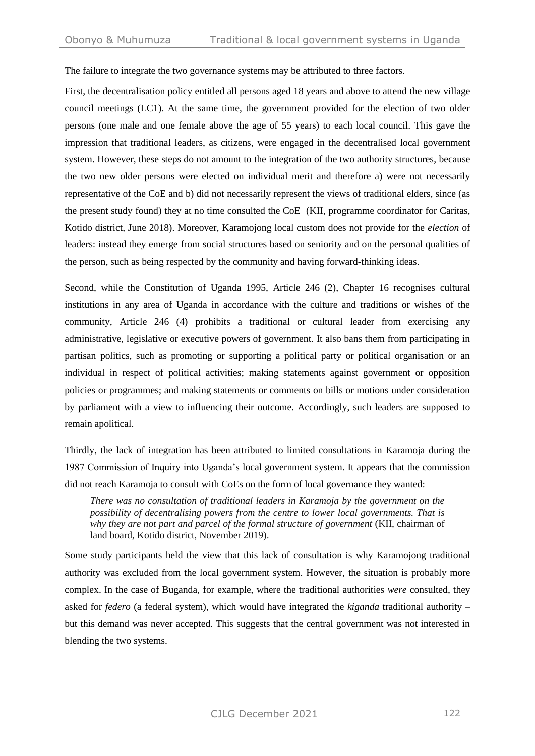The failure to integrate the two governance systems may be attributed to three factors.

First, the decentralisation policy entitled all persons aged 18 years and above to attend the new village council meetings (LC1). At the same time, the government provided for the election of two older persons (one male and one female above the age of 55 years) to each local council. This gave the impression that traditional leaders, as citizens, were engaged in the decentralised local government system. However, these steps do not amount to the integration of the two authority structures, because the two new older persons were elected on individual merit and therefore a) were not necessarily representative of the CoE and b) did not necessarily represent the views of traditional elders, since (as the present study found) they at no time consulted the CoE (KII, programme coordinator for Caritas, Kotido district, June 2018). Moreover, Karamojong local custom does not provide for the *election* of leaders: instead they emerge from social structures based on seniority and on the personal qualities of the person, such as being respected by the community and having forward-thinking ideas.

Second, while the Constitution of Uganda 1995, Article 246 (2), Chapter 16 recognises cultural institutions in any area of Uganda in accordance with the culture and traditions or wishes of the community, Article 246 (4) prohibits a traditional or cultural leader from exercising any administrative, legislative or executive powers of government. It also bans them from participating in partisan politics, such as promoting or supporting a political party or political organisation or an individual in respect of political activities; making statements against government or opposition policies or programmes; and making statements or comments on bills or motions under consideration by parliament with a view to influencing their outcome. Accordingly, such leaders are supposed to remain apolitical.

Thirdly, the lack of integration has been attributed to limited consultations in Karamoja during the 1987 Commission of Inquiry into Uganda's local government system. It appears that the commission did not reach Karamoja to consult with CoEs on the form of local governance they wanted:

*There was no consultation of traditional leaders in Karamoja by the government on the possibility of decentralising powers from the centre to lower local governments. That is why they are not part and parcel of the formal structure of government* (KII, chairman of land board, Kotido district, November 2019).

Some study participants held the view that this lack of consultation is why Karamojong traditional authority was excluded from the local government system. However, the situation is probably more complex. In the case of Buganda, for example, where the traditional authorities *were* consulted, they asked for *federo* (a federal system), which would have integrated the *kiganda* traditional authority – but this demand was never accepted. This suggests that the central government was not interested in blending the two systems.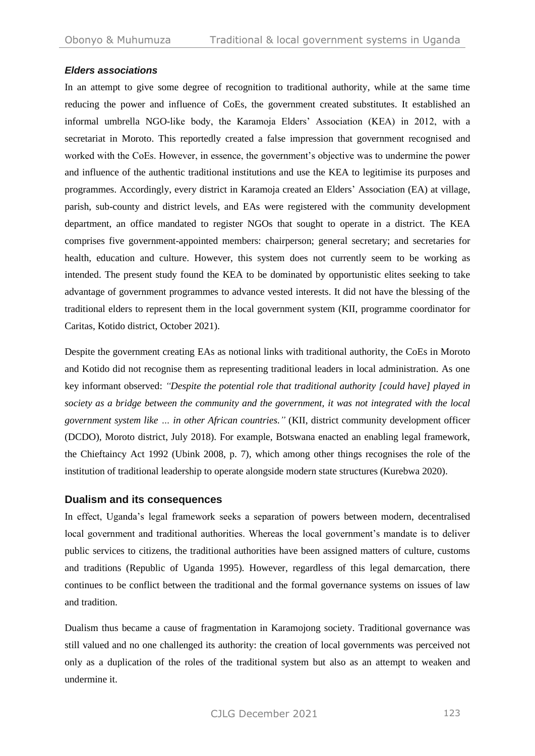## *Elders associations*

In an attempt to give some degree of recognition to traditional authority, while at the same time reducing the power and influence of CoEs, the government created substitutes. It established an informal umbrella NGO-like body, the Karamoja Elders' Association (KEA) in 2012, with a secretariat in Moroto. This reportedly created a false impression that government recognised and worked with the CoEs. However, in essence, the government's objective was to undermine the power and influence of the authentic traditional institutions and use the KEA to legitimise its purposes and programmes. Accordingly, every district in Karamoja created an Elders' Association (EA) at village, parish, sub-county and district levels, and EAs were registered with the community development department, an office mandated to register NGOs that sought to operate in a district. The KEA comprises five government-appointed members: chairperson; general secretary; and secretaries for health, education and culture. However, this system does not currently seem to be working as intended. The present study found the KEA to be dominated by opportunistic elites seeking to take advantage of government programmes to advance vested interests. It did not have the blessing of the traditional elders to represent them in the local government system (KII, programme coordinator for Caritas, Kotido district, October 2021).

Despite the government creating EAs as notional links with traditional authority, the CoEs in Moroto and Kotido did not recognise them as representing traditional leaders in local administration. As one key informant observed: *"Despite the potential role that traditional authority [could have] played in society as a bridge between the community and the government, it was not integrated with the local government system like … in other African countries."* (KII, district community development officer (DCDO), Moroto district, July 2018). For example, Botswana enacted an enabling legal framework, the Chieftaincy Act 1992 (Ubink 2008, p. 7), which among other things recognises the role of the institution of traditional leadership to operate alongside modern state structures (Kurebwa 2020).

## **Dualism and its consequences**

In effect, Uganda's legal framework seeks a separation of powers between modern, decentralised local government and traditional authorities. Whereas the local government's mandate is to deliver public services to citizens, the traditional authorities have been assigned matters of culture, customs and traditions (Republic of Uganda 1995). However, regardless of this legal demarcation, there continues to be conflict between the traditional and the formal governance systems on issues of law and tradition.

Dualism thus became a cause of fragmentation in Karamojong society. Traditional governance was still valued and no one challenged its authority: the creation of local governments was perceived not only as a duplication of the roles of the traditional system but also as an attempt to weaken and undermine it.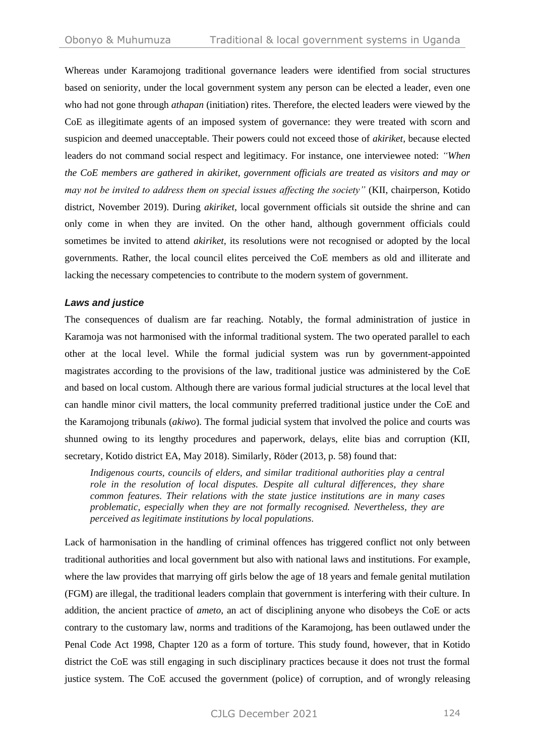Whereas under Karamojong traditional governance leaders were identified from social structures based on seniority, under the local government system any person can be elected a leader, even one who had not gone through *athapan* (initiation) rites. Therefore, the elected leaders were viewed by the CoE as illegitimate agents of an imposed system of governance: they were treated with scorn and suspicion and deemed unacceptable. Their powers could not exceed those of *akiriket*, because elected leaders do not command social respect and legitimacy. For instance, one interviewee noted: *"When the CoE members are gathered in akiriket, government officials are treated as visitors and may or may not be invited to address them on special issues affecting the society"* (KII, chairperson, Kotido district, November 2019). During *akiriket*, local government officials sit outside the shrine and can only come in when they are invited. On the other hand, although government officials could sometimes be invited to attend *akiriket,* its resolutions were not recognised or adopted by the local governments. Rather, the local council elites perceived the CoE members as old and illiterate and lacking the necessary competencies to contribute to the modern system of government.

#### *Laws and justice*

The consequences of dualism are far reaching. Notably, the formal administration of justice in Karamoja was not harmonised with the informal traditional system. The two operated parallel to each other at the local level. While the formal judicial system was run by government-appointed magistrates according to the provisions of the law, traditional justice was administered by the CoE and based on local custom. Although there are various formal judicial structures at the local level that can handle minor civil matters, the local community preferred traditional justice under the CoE and the Karamojong tribunals (*akiwo*). The formal judicial system that involved the police and courts was shunned owing to its lengthy procedures and paperwork, delays, elite bias and corruption (KII, secretary, Kotido district EA, May 2018). Similarly, Röder (2013, p. 58) found that:

*Indigenous courts, councils of elders, and similar traditional authorities play a central role in the resolution of local disputes. Despite all cultural differences, they share common features. Their relations with the state justice institutions are in many cases problematic, especially when they are not formally recognised. Nevertheless, they are perceived as legitimate institutions by local populations.*

Lack of harmonisation in the handling of criminal offences has triggered conflict not only between traditional authorities and local government but also with national laws and institutions. For example, where the law provides that marrying off girls below the age of 18 years and female genital mutilation (FGM) are illegal, the traditional leaders complain that government is interfering with their culture. In addition, the ancient practice of *ameto*, an act of disciplining anyone who disobeys the CoE or acts contrary to the customary law, norms and traditions of the Karamojong, has been outlawed under the Penal Code Act 1998, Chapter 120 as a form of torture. This study found, however, that in Kotido district the CoE was still engaging in such disciplinary practices because it does not trust the formal justice system. The CoE accused the government (police) of corruption, and of wrongly releasing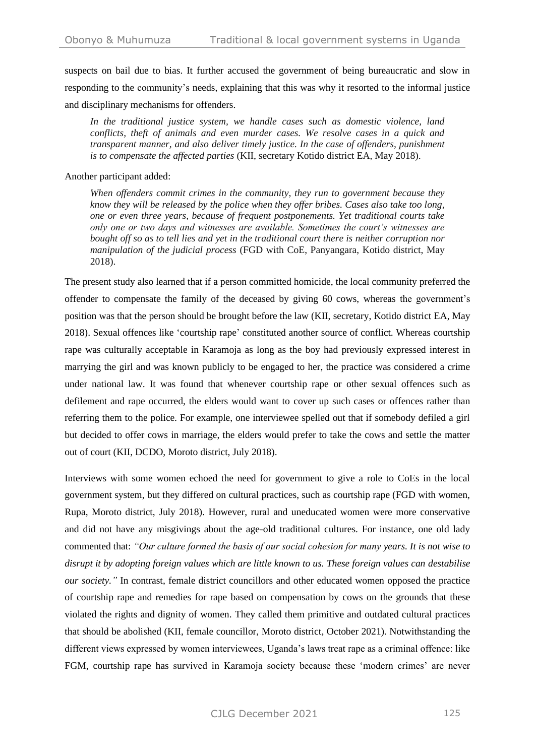suspects on bail due to bias. It further accused the government of being bureaucratic and slow in responding to the community's needs, explaining that this was why it resorted to the informal justice and disciplinary mechanisms for offenders.

*In the traditional justice system, we handle cases such as domestic violence, land conflicts, theft of animals and even murder cases. We resolve cases in a quick and transparent manner, and also deliver timely justice. In the case of offenders, punishment is to compensate the affected parties* (KII, secretary Kotido district EA, May 2018).

Another participant added:

*When offenders commit crimes in the community, they run to government because they know they will be released by the police when they offer bribes. Cases also take too long, one or even three years, because of frequent postponements. Yet traditional courts take only one or two days and witnesses are available. Sometimes the court's witnesses are bought off so as to tell lies and yet in the traditional court there is neither corruption nor manipulation of the judicial process* (FGD with CoE, Panyangara, Kotido district, May 2018).

The present study also learned that if a person committed homicide, the local community preferred the offender to compensate the family of the deceased by giving 60 cows, whereas the government's position was that the person should be brought before the law (KII, secretary, Kotido district EA, May 2018). Sexual offences like 'courtship rape' constituted another source of conflict. Whereas courtship rape was culturally acceptable in Karamoja as long as the boy had previously expressed interest in marrying the girl and was known publicly to be engaged to her, the practice was considered a crime under national law. It was found that whenever courtship rape or other sexual offences such as defilement and rape occurred, the elders would want to cover up such cases or offences rather than referring them to the police. For example, one interviewee spelled out that if somebody defiled a girl but decided to offer cows in marriage, the elders would prefer to take the cows and settle the matter out of court (KII, DCDO, Moroto district, July 2018).

Interviews with some women echoed the need for government to give a role to CoEs in the local government system, but they differed on cultural practices, such as courtship rape (FGD with women, Rupa, Moroto district, July 2018). However, rural and uneducated women were more conservative and did not have any misgivings about the age-old traditional cultures. For instance, one old lady commented that: *"Our culture formed the basis of our social cohesion for many years. It is not wise to disrupt it by adopting foreign values which are little known to us. These foreign values can destabilise our society."* In contrast, female district councillors and other educated women opposed the practice of courtship rape and remedies for rape based on compensation by cows on the grounds that these violated the rights and dignity of women. They called them primitive and outdated cultural practices that should be abolished (KII, female councillor, Moroto district, October 2021). Notwithstanding the different views expressed by women interviewees, Uganda's laws treat rape as a criminal offence: like FGM, courtship rape has survived in Karamoja society because these 'modern crimes' are never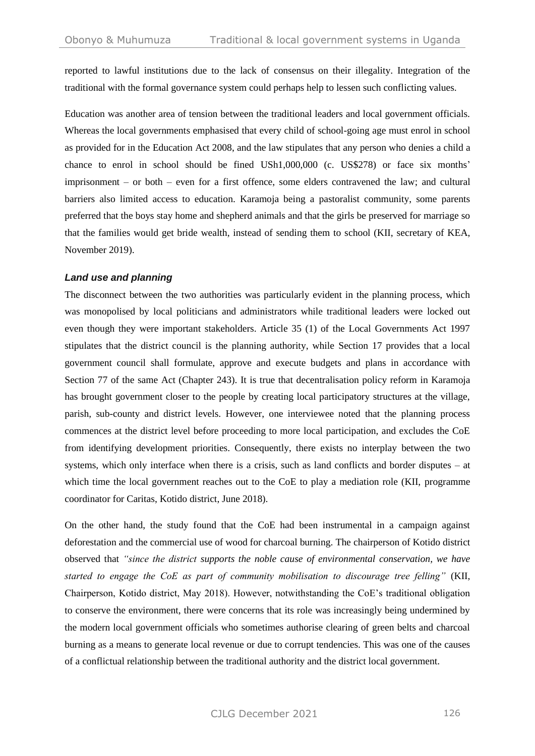reported to lawful institutions due to the lack of consensus on their illegality. Integration of the traditional with the formal governance system could perhaps help to lessen such conflicting values.

Education was another area of tension between the traditional leaders and local government officials. Whereas the local governments emphasised that every child of school-going age must enrol in school as provided for in the Education Act 2008, and the law stipulates that any person who denies a child a chance to enrol in school should be fined USh1,000,000 (c. US\$278) or face six months' imprisonment – or both – even for a first offence, some elders contravened the law; and cultural barriers also limited access to education. Karamoja being a pastoralist community, some parents preferred that the boys stay home and shepherd animals and that the girls be preserved for marriage so that the families would get bride wealth, instead of sending them to school (KII, secretary of KEA, November 2019).

#### *Land use and planning*

The disconnect between the two authorities was particularly evident in the planning process, which was monopolised by local politicians and administrators while traditional leaders were locked out even though they were important stakeholders. Article 35 (1) of the Local Governments Act 1997 stipulates that the district council is the planning authority, while Section 17 provides that a local government council shall formulate, approve and execute budgets and plans in accordance with Section 77 of the same Act (Chapter 243). It is true that decentralisation policy reform in Karamoja has brought government closer to the people by creating local participatory structures at the village, parish, sub-county and district levels. However, one interviewee noted that the planning process commences at the district level before proceeding to more local participation, and excludes the CoE from identifying development priorities. Consequently, there exists no interplay between the two systems, which only interface when there is a crisis, such as land conflicts and border disputes – at which time the local government reaches out to the CoE to play a mediation role (KII, programme coordinator for Caritas, Kotido district, June 2018).

On the other hand, the study found that the CoE had been instrumental in a campaign against deforestation and the commercial use of wood for charcoal burning. The chairperson of Kotido district observed that *"since the district supports the noble cause of environmental conservation, we have started to engage the CoE as part of community mobilisation to discourage tree felling"* (KII, Chairperson, Kotido district, May 2018). However, notwithstanding the CoE's traditional obligation to conserve the environment, there were concerns that its role was increasingly being undermined by the modern local government officials who sometimes authorise clearing of green belts and charcoal burning as a means to generate local revenue or due to corrupt tendencies. This was one of the causes of a conflictual relationship between the traditional authority and the district local government.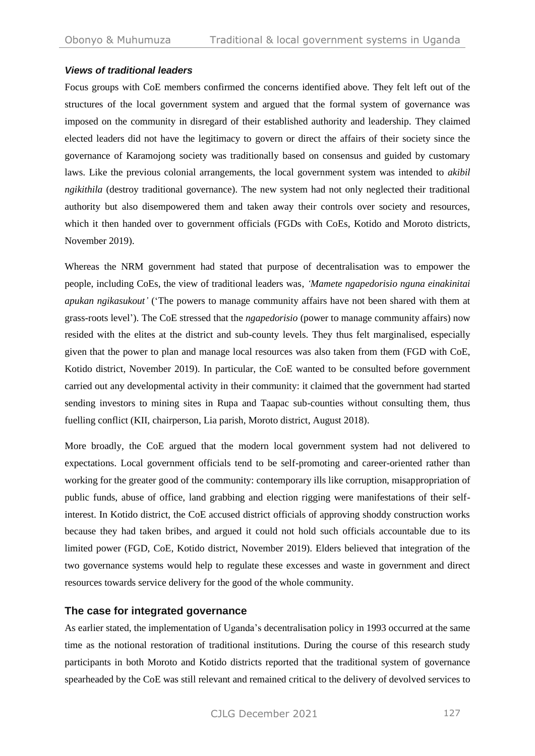#### *Views of traditional leaders*

Focus groups with CoE members confirmed the concerns identified above. They felt left out of the structures of the local government system and argued that the formal system of governance was imposed on the community in disregard of their established authority and leadership. They claimed elected leaders did not have the legitimacy to govern or direct the affairs of their society since the governance of Karamojong society was traditionally based on consensus and guided by customary laws. Like the previous colonial arrangements, the local government system was intended to *akibil ngikithila* (destroy traditional governance). The new system had not only neglected their traditional authority but also disempowered them and taken away their controls over society and resources, which it then handed over to government officials (FGDs with CoEs, Kotido and Moroto districts, November 2019).

Whereas the NRM government had stated that purpose of decentralisation was to empower the people, including CoEs, the view of traditional leaders was, *'Mamete ngapedorisio nguna einakinitai apukan ngikasukout'* ('The powers to manage community affairs have not been shared with them at grass-roots level'). The CoE stressed that the *ngapedorisio* (power to manage community affairs) now resided with the elites at the district and sub-county levels. They thus felt marginalised, especially given that the power to plan and manage local resources was also taken from them (FGD with CoE, Kotido district, November 2019). In particular, the CoE wanted to be consulted before government carried out any developmental activity in their community: it claimed that the government had started sending investors to mining sites in Rupa and Taapac sub-counties without consulting them, thus fuelling conflict (KII, chairperson, Lia parish, Moroto district, August 2018).

More broadly, the CoE argued that the modern local government system had not delivered to expectations. Local government officials tend to be self-promoting and career-oriented rather than working for the greater good of the community: contemporary ills like corruption, misappropriation of public funds, abuse of office, land grabbing and election rigging were manifestations of their selfinterest. In Kotido district, the CoE accused district officials of approving shoddy construction works because they had taken bribes, and argued it could not hold such officials accountable due to its limited power (FGD, CoE, Kotido district, November 2019). Elders believed that integration of the two governance systems would help to regulate these excesses and waste in government and direct resources towards service delivery for the good of the whole community.

## **The case for integrated governance**

As earlier stated, the implementation of Uganda's decentralisation policy in 1993 occurred at the same time as the notional restoration of traditional institutions. During the course of this research study participants in both Moroto and Kotido districts reported that the traditional system of governance spearheaded by the CoE was still relevant and remained critical to the delivery of devolved services to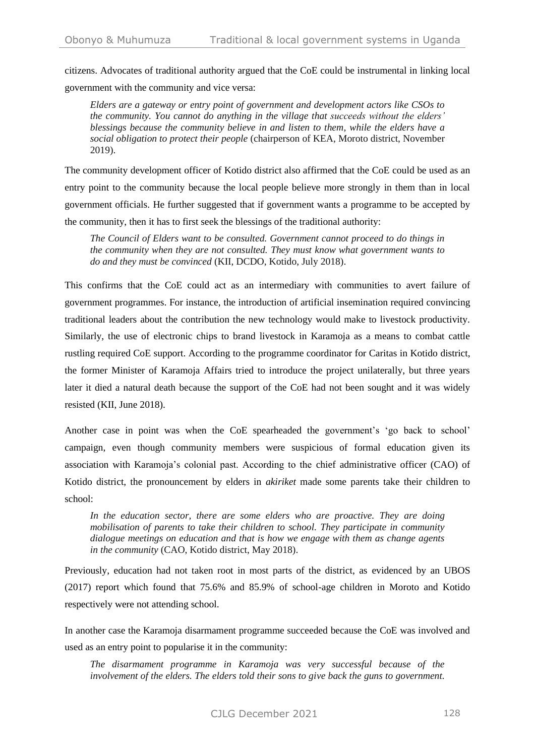citizens. Advocates of traditional authority argued that the CoE could be instrumental in linking local government with the community and vice versa:

*Elders are a gateway or entry point of government and development actors like CSOs to the community. You cannot do anything in the village that succeeds without the elders' blessings because the community believe in and listen to them, while the elders have a social obligation to protect their people* (chairperson of KEA, Moroto district, November 2019).

The community development officer of Kotido district also affirmed that the CoE could be used as an entry point to the community because the local people believe more strongly in them than in local government officials. He further suggested that if government wants a programme to be accepted by the community, then it has to first seek the blessings of the traditional authority:

*The Council of Elders want to be consulted. Government cannot proceed to do things in the community when they are not consulted. They must know what government wants to do and they must be convinced* (KII, DCDO, Kotido, July 2018).

This confirms that the CoE could act as an intermediary with communities to avert failure of government programmes. For instance, the introduction of artificial insemination required convincing traditional leaders about the contribution the new technology would make to livestock productivity. Similarly, the use of electronic chips to brand livestock in Karamoja as a means to combat cattle rustling required CoE support. According to the programme coordinator for Caritas in Kotido district, the former Minister of Karamoja Affairs tried to introduce the project unilaterally, but three years later it died a natural death because the support of the CoE had not been sought and it was widely resisted (KII, June 2018).

Another case in point was when the CoE spearheaded the government's 'go back to school' campaign, even though community members were suspicious of formal education given its association with Karamoja's colonial past. According to the chief administrative officer (CAO) of Kotido district, the pronouncement by elders in *akiriket* made some parents take their children to school:

*In the education sector, there are some elders who are proactive. They are doing mobilisation of parents to take their children to school. They participate in community dialogue meetings on education and that is how we engage with them as change agents in the community* (CAO, Kotido district, May 2018).

Previously, education had not taken root in most parts of the district, as evidenced by an UBOS (2017) report which found that 75.6% and 85.9% of school-age children in Moroto and Kotido respectively were not attending school.

In another case the Karamoja disarmament programme succeeded because the CoE was involved and used as an entry point to popularise it in the community:

*The disarmament programme in Karamoja was very successful because of the involvement of the elders. The elders told their sons to give back the guns to government.*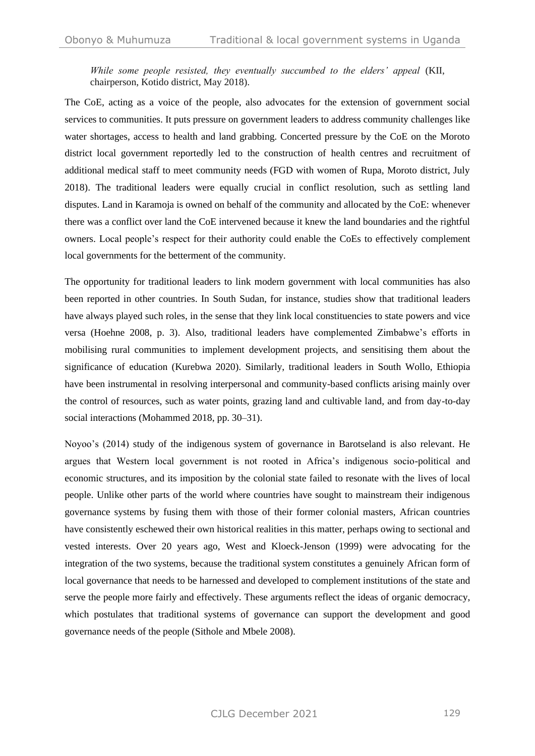*While some people resisted, they eventually succumbed to the elders' appeal* (KII, chairperson, Kotido district, May 2018).

The CoE, acting as a voice of the people, also advocates for the extension of government social services to communities. It puts pressure on government leaders to address community challenges like water shortages, access to health and land grabbing. Concerted pressure by the CoE on the Moroto district local government reportedly led to the construction of health centres and recruitment of additional medical staff to meet community needs (FGD with women of Rupa, Moroto district, July 2018). The traditional leaders were equally crucial in conflict resolution, such as settling land disputes. Land in Karamoja is owned on behalf of the community and allocated by the CoE: whenever there was a conflict over land the CoE intervened because it knew the land boundaries and the rightful owners. Local people's respect for their authority could enable the CoEs to effectively complement local governments for the betterment of the community.

The opportunity for traditional leaders to link modern government with local communities has also been reported in other countries. In South Sudan, for instance, studies show that traditional leaders have always played such roles, in the sense that they link local constituencies to state powers and vice versa (Hoehne 2008, p. 3). Also, traditional leaders have complemented Zimbabwe's efforts in mobilising rural communities to implement development projects, and sensitising them about the significance of education (Kurebwa 2020). Similarly, traditional leaders in South Wollo, Ethiopia have been instrumental in resolving interpersonal and community-based conflicts arising mainly over the control of resources, such as water points, grazing land and cultivable land, and from day-to-day social interactions (Mohammed 2018, pp. 30–31).

Noyoo's (2014) study of the indigenous system of governance in Barotseland is also relevant. He argues that Western local government is not rooted in Africa's indigenous socio-political and economic structures, and its imposition by the colonial state failed to resonate with the lives of local people. Unlike other parts of the world where countries have sought to mainstream their indigenous governance systems by fusing them with those of their former colonial masters, African countries have consistently eschewed their own historical realities in this matter, perhaps owing to sectional and vested interests. Over 20 years ago, West and Kloeck-Jenson (1999) were advocating for the integration of the two systems, because the traditional system constitutes a genuinely African form of local governance that needs to be harnessed and developed to complement institutions of the state and serve the people more fairly and effectively. These arguments reflect the ideas of organic democracy, which postulates that traditional systems of governance can support the development and good governance needs of the people (Sithole and Mbele 2008).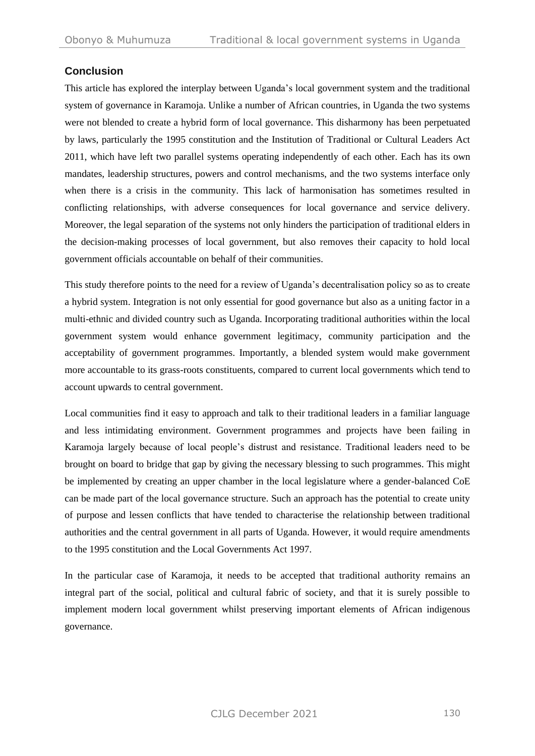## **Conclusion**

This article has explored the interplay between Uganda's local government system and the traditional system of governance in Karamoja. Unlike a number of African countries, in Uganda the two systems were not blended to create a hybrid form of local governance. This disharmony has been perpetuated by laws, particularly the 1995 constitution and the Institution of Traditional or Cultural Leaders Act 2011, which have left two parallel systems operating independently of each other. Each has its own mandates, leadership structures, powers and control mechanisms, and the two systems interface only when there is a crisis in the community. This lack of harmonisation has sometimes resulted in conflicting relationships, with adverse consequences for local governance and service delivery. Moreover, the legal separation of the systems not only hinders the participation of traditional elders in the decision-making processes of local government, but also removes their capacity to hold local government officials accountable on behalf of their communities.

This study therefore points to the need for a review of Uganda's decentralisation policy so as to create a hybrid system. Integration is not only essential for good governance but also as a uniting factor in a multi-ethnic and divided country such as Uganda. Incorporating traditional authorities within the local government system would enhance government legitimacy, community participation and the acceptability of government programmes. Importantly, a blended system would make government more accountable to its grass-roots constituents, compared to current local governments which tend to account upwards to central government.

Local communities find it easy to approach and talk to their traditional leaders in a familiar language and less intimidating environment. Government programmes and projects have been failing in Karamoja largely because of local people's distrust and resistance. Traditional leaders need to be brought on board to bridge that gap by giving the necessary blessing to such programmes. This might be implemented by creating an upper chamber in the local legislature where a gender-balanced CoE can be made part of the local governance structure. Such an approach has the potential to create unity of purpose and lessen conflicts that have tended to characterise the relationship between traditional authorities and the central government in all parts of Uganda. However, it would require amendments to the 1995 constitution and the Local Governments Act 1997.

In the particular case of Karamoja, it needs to be accepted that traditional authority remains an integral part of the social, political and cultural fabric of society, and that it is surely possible to implement modern local government whilst preserving important elements of African indigenous governance.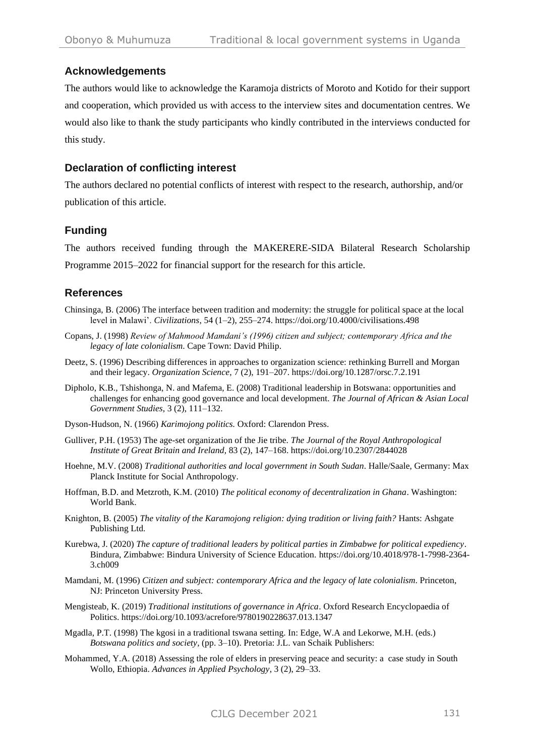## **Acknowledgements**

The authors would like to acknowledge the Karamoja districts of Moroto and Kotido for their support and cooperation, which provided us with access to the interview sites and documentation centres. We would also like to thank the study participants who kindly contributed in the interviews conducted for this study.

## **Declaration of conflicting interest**

The authors declared no potential conflicts of interest with respect to the research, authorship, and/or publication of this article.

## **Funding**

The authors received funding through the MAKERERE-SIDA Bilateral Research Scholarship Programme 2015–2022 for financial support for the research for this article.

## **References**

- Chinsinga, B. (2006) The interface between tradition and modernity: the struggle for political space at the local level in Malawi'. *Civilizations*, 54 (1–2), 255–274. https://doi.org/10.4000/civilisations.498
- Copans, J. (1998) *Review of Mahmood Mamdani's (1996) citizen and subject; contemporary Africa and the legacy of late colonialism*. Cape Town: David Philip.
- Deetz, S. (1996) Describing differences in approaches to organization science: rethinking Burrell and Morgan and their legacy. *Organization Science*, 7 (2), 191–207. https://doi.org/10.1287/orsc.7.2.191
- Dipholo, K.B., Tshishonga, N. and Mafema, E. (2008) Traditional leadership in Botswana: opportunities and challenges for enhancing good governance and local development. *The Journal of African & Asian Local Government Studies*, 3 (2), 111–132.
- Dyson-Hudson, N. (1966) *Karimojong politics.* Oxford: Clarendon Press.
- Gulliver, P.H. (1953) The age-set organization of the Jie tribe. *The Journal of the Royal Anthropological Institute of Great Britain and Ireland,* 83 (2), 147–168. https://doi.org/10.2307/2844028
- Hoehne, M.V. (2008) *Traditional authorities and local government in South Sudan*. Halle/Saale, Germany: Max Planck Institute for Social Anthropology.
- Hoffman, B.D. and Metzroth, K.M. (2010) *The political economy of decentralization in Ghana*. Washington: World Bank.
- Knighton, B. (2005) *The vitality of the Karamojong religion: dying tradition or living faith?* Hants: Ashgate Publishing Ltd.
- Kurebwa, J. (2020) *The capture of traditional leaders by political parties in Zimbabwe for political expediency*. Bindura, Zimbabwe: Bindura University of Science Education. https://doi.org/10.4018/978-1-7998-2364- 3.ch009
- Mamdani, M. (1996) *Citizen and subject: contemporary Africa and the legacy of late colonialism*. Princeton, NJ: Princeton University Press.
- Mengisteab, K. (2019) *Traditional institutions of governance in Africa*. Oxford Research Encyclopaedia of Politics. https://doi.org/10.1093/acrefore/9780190228637.013.1347
- Mgadla, P.T. (1998) The kgosi in a traditional tswana setting. In: Edge, W.A and Lekorwe, M.H. (eds.) *Botswana politics and society,* (pp. 3–10). Pretoria: J.L. van Schaik Publishers:
- Mohammed, Y.A. (2018) Assessing the role of elders in preserving peace and security: a case study in South Wollo, Ethiopia. *Advances in Applied Psychology*, 3 (2), 29–33.